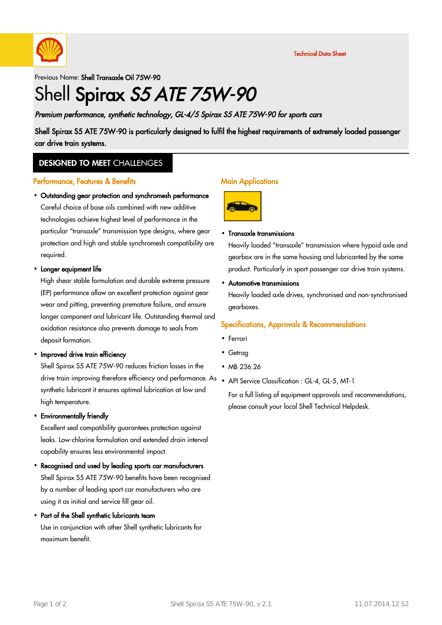

Previous Name: Shell Transaxle Oil 75W-90

# Shell Spirax S5 ATE 75W-90

Premium performance, synthetic technology, GL-4/5 Spirax S5 ATE 75W-90 for sports cars

Shell Spirax S5 ATE 75W-90 is particularly designed to fulfil the highest requirements of extremely loaded passenger car drive train systems.

### **DESIGNED TO MEET CHALLENGES**

#### Performance, Features & Benefits

Outstanding gear protection and synchromesh performance · Careful choice of base oils combined with new additive technologies achieve highest level of performance in the particular "transaxle" transmission type designs, where gear protection and high and stable synchromesh compatibility are required.

# Longer equipment life ·

High shear stable formulation and durable extreme pressure (EP) performance allow an excellent protection against gear wear and pitting, preventing premature failure, and ensure longer component and lubricant life. Outstanding thermal and oxidation resistance also prevents damage to seals from deposit formation.

# • Improved drive train efficiency

Shell Spirax S5 ATE 75W-90 reduces friction losses in the drive train improving therefore efficiency and performance. As synthetic lubricant it ensures optimal lubrication at low and high temperature.

Environmentally friendly ·

Excellent seal compatibility guarantees protection against leaks. Low-chlorine formulation and extended drain interval capability ensures less environmental impact.

Recognised and used by leading sports car manufacturers · Shell Spirax S5 ATE 75W-90 benefits have been recognised by a number of leading sport car manufacturers who are using it as initial and service fill gear oil.

# Part of the Shell synthetic lubricants team ·

Use in conjunction with other Shell synthetic lubricants for maximum benefit.

#### Main Applications



#### Transaxle transmissions ·

Heavily loaded "transaxle" transmission where hypoid axle and gearbox are in the same housing and lubricanted by the same product. Particularly in sport passenger car drive train systems.

Automotive transmissions ·

Heavily loaded axle drives, synchronised and non-synchronised gearboxes.

### Specifications, Approvals & Recommendations

- Ferrari ·
- Getrag ·
- MB 236.26
- API Service Classification : GL-4, GL-5, MT-1

For a full listing of equipment approvals and recommendations, please consult your local Shell Technical Helpdesk.